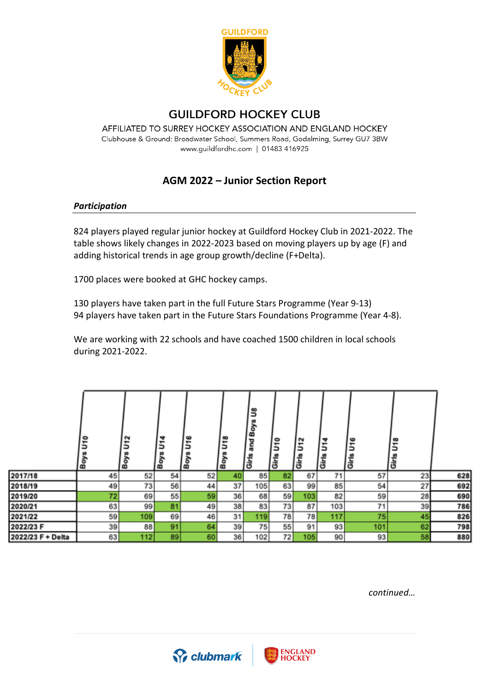

# **GUILDFORD HOCKEY CLUB**

AFFILIATED TO SURREY HOCKEY ASSOCIATION AND ENGLAND HOCKEY Clubhouse & Ground: Broadwater School, Summers Road, Godalming, Surrey GU7 3BW www.guildfordhc.com | 01483 416925

# **AGM 2022 – Junior Section Report**

#### *Participation*

824 players played regular junior hockey at Guildford Hockey Club in 2021-2022. The table shows likely changes in 2022-2023 based on moving players up by age (F) and adding historical trends in age group growth/decline (F+Delta).

1700 places were booked at GHC hockey camps.

130 players have taken part in the full Future Stars Programme (Year 9-13) 94 players have taken part in the Future Stars Foundations Programme (Year 4-8).

We are working with 22 schools and have coached 1500 children in local schools during 2021-2022.

|                   | ۰<br>-<br>ョ<br>Boy | N<br>⊷<br>۵<br>Boy | ₩<br>$\overline{\phantom{0}}$<br>٥<br><b>Boy</b> | $\bullet$<br>٠<br>٥<br>Boy | $\infty$<br>↽<br>٥<br>Boy | కి<br>శా<br>∞<br>Girls | $\bullet$<br>٠<br>э<br>Girls | N<br>٠<br>د<br>l të<br>Girt | ₩<br>٠<br>∍<br>Girls | e<br>٠<br>∍<br>Girls | œ<br>5<br>Girls |     |
|-------------------|--------------------|--------------------|--------------------------------------------------|----------------------------|---------------------------|------------------------|------------------------------|-----------------------------|----------------------|----------------------|-----------------|-----|
| 2017/18           | 45                 | 52                 | 54                                               | 52                         | 40                        | 85                     | 82                           | 67                          | 71                   | 57                   | 23              | 628 |
| 2018/19           | 49                 | 73                 | 56                                               | 44                         | 37                        | 105                    | 63                           | 99                          | 85                   | 54                   | 27              | 692 |
| 2019/20           | 72                 | 69                 | 55                                               | 59                         | 36                        | 68                     | 59                           | 103                         | 82                   | 59                   | 28              | 690 |
| 2020/21           | 63                 | 99                 | 81                                               | 49                         | 38                        | 83                     | 73                           | 87                          | 103                  | 71                   | 39              | 786 |
| 2021/22           | 59                 | 109                | 69                                               | 46                         | 31                        | 119                    | 78                           | 78                          | 117                  | 75                   | 45              | 826 |
| 2022/23 F         | 39                 | 88                 | 91                                               | 64                         | 39                        | 75                     | 55                           | 91                          | 93                   | 101                  | 62              | 798 |
| 2022/23 F + Delta | 63                 | 112                | 89                                               | 60                         | 36                        | 102                    | 72                           | 105                         | 90                   | 93                   | 58              | 880 |

*continued…*



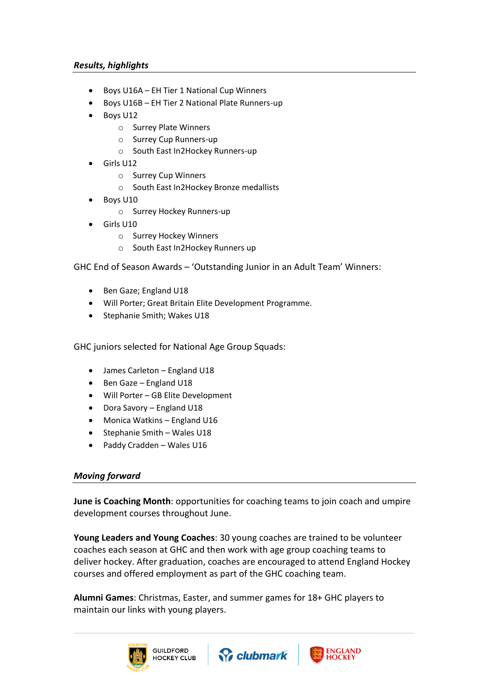### *Results, highlights*

- Boys U16A EH Tier 1 National Cup Winners
- Boys U16B EH Tier 2 National Plate Runners-up
- Boys U12
	- o Surrey Plate Winners
	- o Surrey Cup Runners-up
	- o South East In2Hockey Runners-up
- Girls U12
	- o Surrey Cup Winners
	- o South East In2Hockey Bronze medallists
- Boys U10
	- o Surrey Hockey Runners-up
- Girls U10
	- o Surrey Hockey Winners
	- o South East In2Hockey Runners up

GHC End of Season Awards – 'Outstanding Junior in an Adult Team' Winners:

- Ben Gaze; England U18
- Will Porter; Great Britain Elite Development Programme.
- Stephanie Smith; Wakes U18

GHC juniors selected for National Age Group Squads:

- James Carleton England U18
- Ben Gaze England U18
- Will Porter GB Elite Development
- Dora Savory England U18
- Monica Watkins England U16
- Stephanie Smith Wales U18
- Paddy Cradden Wales U16

### *Moving forward*

**June is Coaching Month**: opportunities for coaching teams to join coach and umpire development courses throughout June.

**Young Leaders and Young Coaches**: 30 young coaches are trained to be volunteer coaches each season at GHC and then work with age group coaching teams to deliver hockey. After graduation, coaches are encouraged to attend England Hockey courses and offered employment as part of the GHC coaching team.

**Alumni Games**: Christmas, Easter, and summer games for 18+ GHC players to maintain our links with young players.